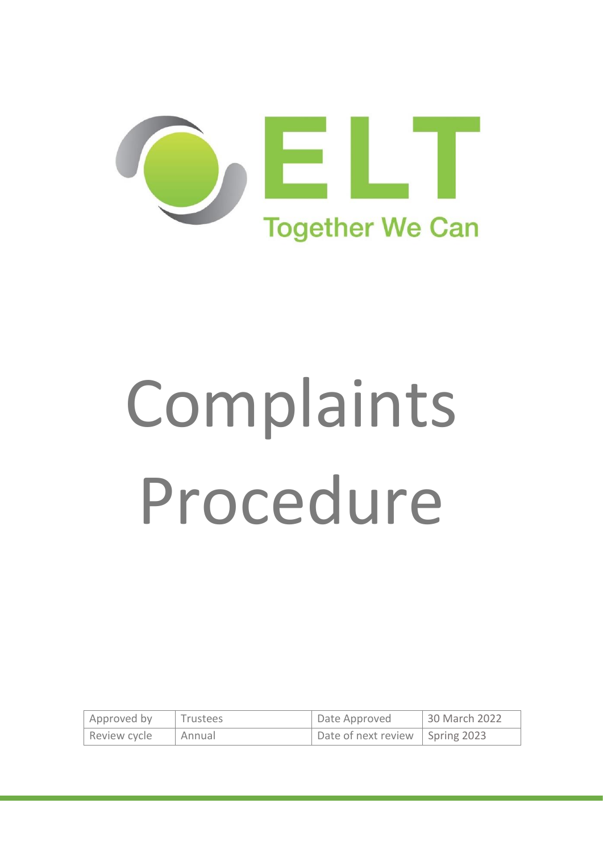

# Complaints Procedure

| Approved by  | <b>Trustees</b> | Date Approved                     | 30 March 2022 |
|--------------|-----------------|-----------------------------------|---------------|
| Review cycle | Annual          | Date of next review   Spring 2023 |               |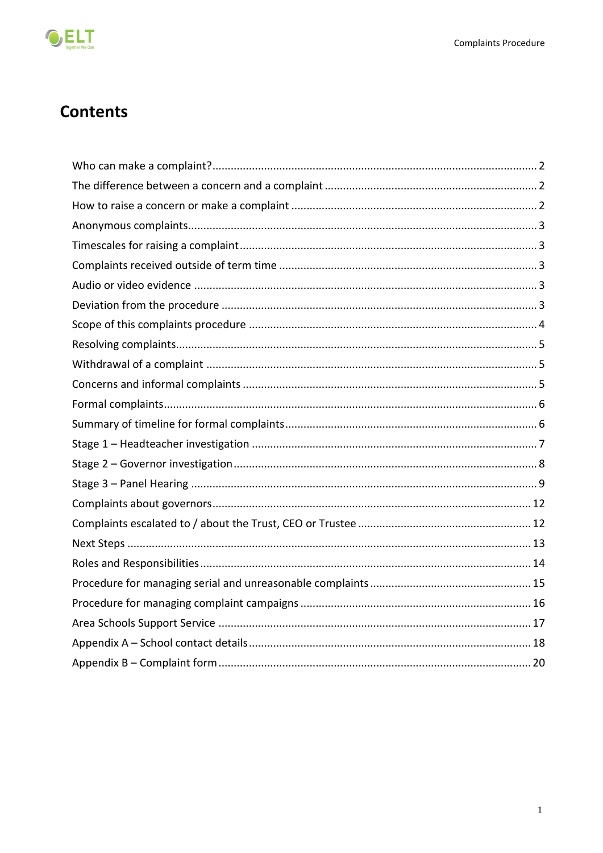

# **Contents**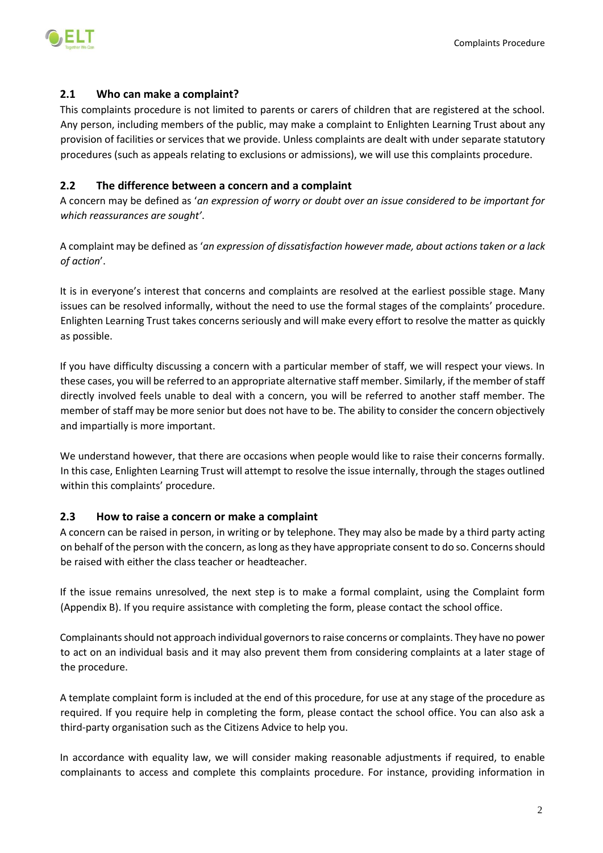

# <span id="page-2-0"></span>**2.1 Who can make a complaint?**

This complaints procedure is not limited to parents or carers of children that are registered at the school. Any person, including members of the public, may make a complaint to Enlighten Learning Trust about any provision of facilities or services that we provide. Unless complaints are dealt with under separate statutory procedures (such as appeals relating to exclusions or admissions), we will use this complaints procedure.

# <span id="page-2-1"></span>**2.2 The difference between a concern and a complaint**

A concern may be defined as '*an expression of worry or doubt over an issue considered to be important for which reassurances are sought'*.

A complaint may be defined as '*an expression of dissatisfaction however made, about actions taken or a lack of action*'.

It is in everyone's interest that concerns and complaints are resolved at the earliest possible stage. Many issues can be resolved informally, without the need to use the formal stages of the complaints' procedure. Enlighten Learning Trust takes concerns seriously and will make every effort to resolve the matter as quickly as possible.

If you have difficulty discussing a concern with a particular member of staff, we will respect your views. In these cases, you will be referred to an appropriate alternative staff member. Similarly, if the member of staff directly involved feels unable to deal with a concern, you will be referred to another staff member. The member of staff may be more senior but does not have to be. The ability to consider the concern objectively and impartially is more important.

We understand however, that there are occasions when people would like to raise their concerns formally. In this case, Enlighten Learning Trust will attempt to resolve the issue internally, through the stages outlined within this complaints' procedure.

# <span id="page-2-2"></span>**2.3 How to raise a concern or make a complaint**

A concern can be raised in person, in writing or by telephone. They may also be made by a third party acting on behalf of the person with the concern, as long as they have appropriate consent to do so. Concerns should be raised with either the class teacher or headteacher.

If the issue remains unresolved, the next step is to make a formal complaint, using the Complaint form (Appendix B). If you require assistance with completing the form, please contact the school office.

Complainants should not approach individual governors to raise concerns or complaints. They have no power to act on an individual basis and it may also prevent them from considering complaints at a later stage of the procedure.

A template complaint form is included at the end of this procedure, for use at any stage of the procedure as required. If you require help in completing the form, please contact the school office. You can also ask a third-party organisation such as the Citizens Advice to help you.

In accordance with equality law, we will consider making reasonable adjustments if required, to enable complainants to access and complete this complaints procedure. For instance, providing information in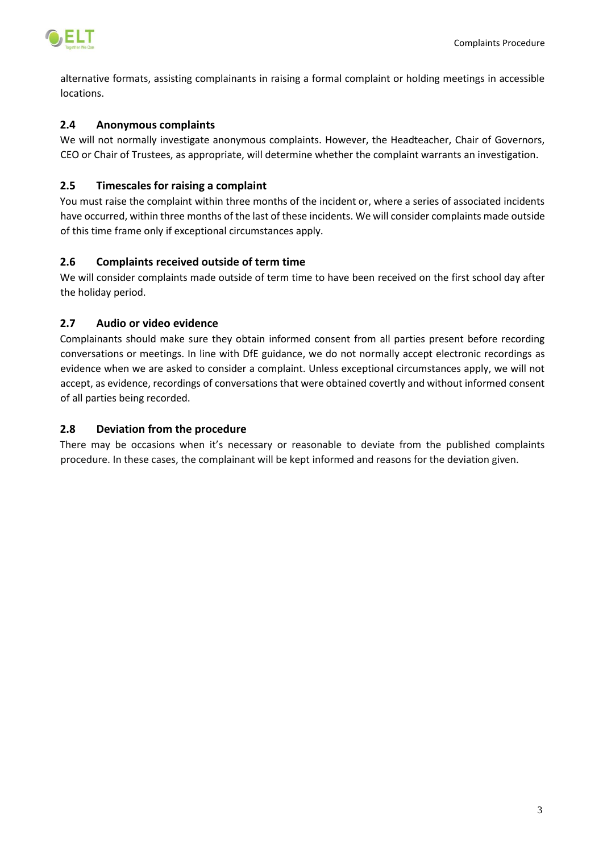

alternative formats, assisting complainants in raising a formal complaint or holding meetings in accessible locations.

# <span id="page-3-0"></span>**2.4 Anonymous complaints**

We will not normally investigate anonymous complaints. However, the Headteacher, Chair of Governors, CEO or Chair of Trustees, as appropriate, will determine whether the complaint warrants an investigation.

# <span id="page-3-1"></span>**2.5 Timescales for raising a complaint**

You must raise the complaint within three months of the incident or, where a series of associated incidents have occurred, within three months of the last of these incidents. We will consider complaints made outside of this time frame only if exceptional circumstances apply.

# <span id="page-3-2"></span>**2.6 Complaints received outside of term time**

We will consider complaints made outside of term time to have been received on the first school day after the holiday period.

# <span id="page-3-3"></span>**2.7 Audio or video evidence**

Complainants should make sure they obtain informed consent from all parties present before recording conversations or meetings. In line with DfE guidance, we do not normally accept electronic recordings as evidence when we are asked to consider a complaint. Unless exceptional circumstances apply, we will not accept, as evidence, recordings of conversations that were obtained covertly and without informed consent of all parties being recorded.

# <span id="page-3-4"></span>**2.8 Deviation from the procedure**

There may be occasions when it's necessary or reasonable to deviate from the published complaints procedure. In these cases, the complainant will be kept informed and reasons for the deviation given.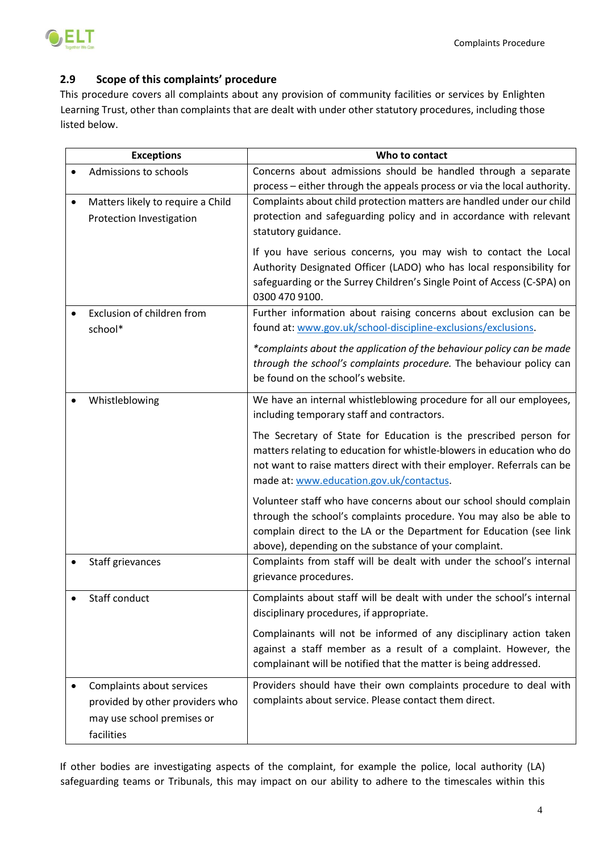

# <span id="page-4-0"></span>**2.9 Scope of this complaints' procedure**

This procedure covers all complaints about any provision of community facilities or services by Enlighten Learning Trust, other than complaints that are dealt with under other statutory procedures, including those listed below.

| <b>Exceptions</b>                 | Who to contact                                                           |  |  |
|-----------------------------------|--------------------------------------------------------------------------|--|--|
| Admissions to schools             | Concerns about admissions should be handled through a separate           |  |  |
|                                   | process - either through the appeals process or via the local authority. |  |  |
| Matters likely to require a Child | Complaints about child protection matters are handled under our child    |  |  |
| Protection Investigation          | protection and safeguarding policy and in accordance with relevant       |  |  |
|                                   | statutory guidance.                                                      |  |  |
|                                   | If you have serious concerns, you may wish to contact the Local          |  |  |
|                                   | Authority Designated Officer (LADO) who has local responsibility for     |  |  |
|                                   | safeguarding or the Surrey Children's Single Point of Access (C-SPA) on  |  |  |
|                                   | 0300 470 9100.                                                           |  |  |
| Exclusion of children from        | Further information about raising concerns about exclusion can be        |  |  |
| school*                           | found at: www.gov.uk/school-discipline-exclusions/exclusions.            |  |  |
|                                   | *complaints about the application of the behaviour policy can be made    |  |  |
|                                   | through the school's complaints procedure. The behaviour policy can      |  |  |
|                                   | be found on the school's website.                                        |  |  |
| Whistleblowing                    | We have an internal whistleblowing procedure for all our employees,      |  |  |
|                                   | including temporary staff and contractors.                               |  |  |
|                                   | The Secretary of State for Education is the prescribed person for        |  |  |
|                                   | matters relating to education for whistle-blowers in education who do    |  |  |
|                                   | not want to raise matters direct with their employer. Referrals can be   |  |  |
|                                   | made at: www.education.gov.uk/contactus.                                 |  |  |
|                                   | Volunteer staff who have concerns about our school should complain       |  |  |
|                                   | through the school's complaints procedure. You may also be able to       |  |  |
|                                   | complain direct to the LA or the Department for Education (see link      |  |  |
|                                   | above), depending on the substance of your complaint.                    |  |  |
| Staff grievances                  | Complaints from staff will be dealt with under the school's internal     |  |  |
|                                   | grievance procedures.                                                    |  |  |
| Staff conduct                     | Complaints about staff will be dealt with under the school's internal    |  |  |
|                                   | disciplinary procedures, if appropriate.                                 |  |  |
|                                   | Complainants will not be informed of any disciplinary action taken       |  |  |
|                                   | against a staff member as a result of a complaint. However, the          |  |  |
|                                   | complainant will be notified that the matter is being addressed.         |  |  |
| Complaints about services         | Providers should have their own complaints procedure to deal with        |  |  |
| provided by other providers who   | complaints about service. Please contact them direct.                    |  |  |
| may use school premises or        |                                                                          |  |  |
| facilities                        |                                                                          |  |  |

If other bodies are investigating aspects of the complaint, for example the police, local authority (LA) safeguarding teams or Tribunals, this may impact on our ability to adhere to the timescales within this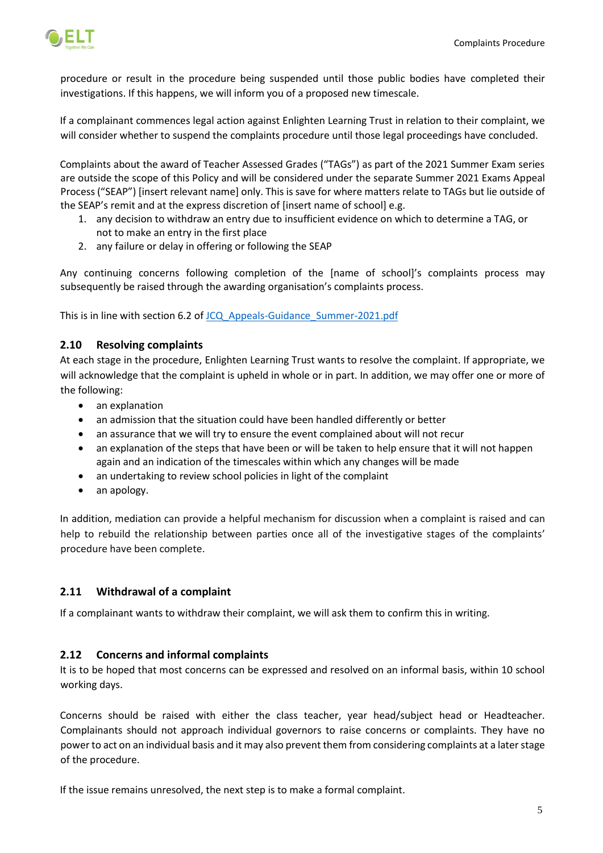

procedure or result in the procedure being suspended until those public bodies have completed their investigations. If this happens, we will inform you of a proposed new timescale.

If a complainant commences legal action against Enlighten Learning Trust in relation to their complaint, we will consider whether to suspend the complaints procedure until those legal proceedings have concluded.

Complaints about the award of Teacher Assessed Grades ("TAGs") as part of the 2021 Summer Exam series are outside the scope of this Policy and will be considered under the separate Summer 2021 Exams Appeal Process ("SEAP") [insert relevant name] only. This is save for where matters relate to TAGs but lie outside of the SEAP's remit and at the express discretion of [insert name of school] e.g.

- 1. any decision to withdraw an entry due to insufficient evidence on which to determine a TAG, or not to make an entry in the first place
- 2. any failure or delay in offering or following the SEAP

Any continuing concerns following completion of the [name of school]'s complaints process may subsequently be raised through the awarding organisation's complaints process.

This is in line with section 6.2 o[f JCQ\\_Appeals-Guidance\\_Summer-2021.pdf](https://www.jcq.org.uk/wp-content/uploads/2021/06/JCQ_Appeals-Guidance_Summer-2021.pdf)

# <span id="page-5-0"></span>**2.10 Resolving complaints**

At each stage in the procedure, Enlighten Learning Trust wants to resolve the complaint. If appropriate, we will acknowledge that the complaint is upheld in whole or in part. In addition, we may offer one or more of the following:

- an explanation
- an admission that the situation could have been handled differently or better
- an assurance that we will try to ensure the event complained about will not recur
- an explanation of the steps that have been or will be taken to help ensure that it will not happen again and an indication of the timescales within which any changes will be made
- an undertaking to review school policies in light of the complaint
- an apology.

In addition, mediation can provide a helpful mechanism for discussion when a complaint is raised and can help to rebuild the relationship between parties once all of the investigative stages of the complaints' procedure have been complete.

# <span id="page-5-1"></span>**2.11 Withdrawal of a complaint**

If a complainant wants to withdraw their complaint, we will ask them to confirm this in writing.

# <span id="page-5-2"></span>**2.12 Concerns and informal complaints**

It is to be hoped that most concerns can be expressed and resolved on an informal basis, within 10 school working days.

Concerns should be raised with either the class teacher, year head/subject head or Headteacher. Complainants should not approach individual governors to raise concerns or complaints. They have no power to act on an individual basis and it may also prevent them from considering complaints at a later stage of the procedure.

If the issue remains unresolved, the next step is to make a formal complaint.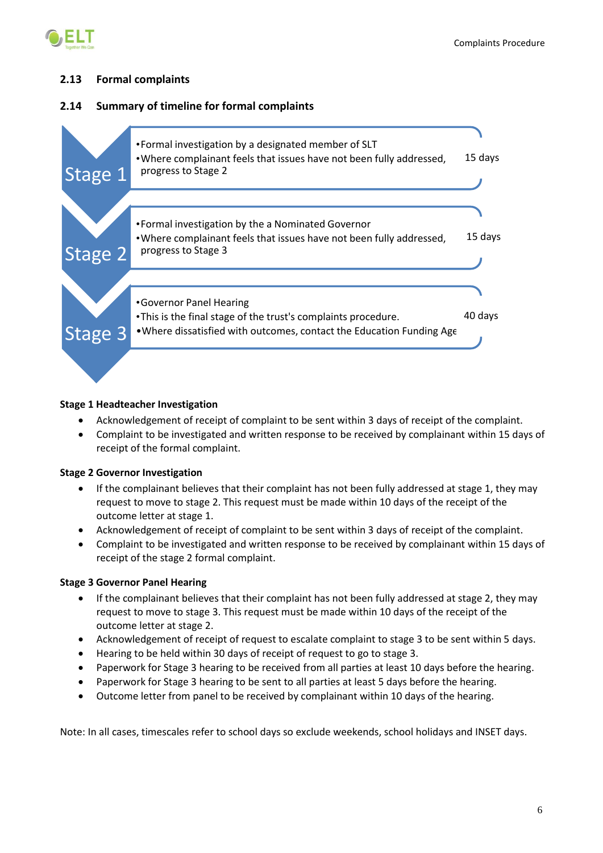

# <span id="page-6-0"></span>**2.13 Formal complaints**

# <span id="page-6-1"></span>**2.14 Summary of timeline for formal complaints**



# **Stage 1 Headteacher Investigation**

- Acknowledgement of receipt of complaint to be sent within 3 days of receipt of the complaint.
- Complaint to be investigated and written response to be received by complainant within 15 days of receipt of the formal complaint.

# **Stage 2 Governor Investigation**

- If the complainant believes that their complaint has not been fully addressed at stage 1, they may request to move to stage 2. This request must be made within 10 days of the receipt of the outcome letter at stage 1.
- Acknowledgement of receipt of complaint to be sent within 3 days of receipt of the complaint.
- Complaint to be investigated and written response to be received by complainant within 15 days of receipt of the stage 2 formal complaint.

# **Stage 3 Governor Panel Hearing**

- If the complainant believes that their complaint has not been fully addressed at stage 2, they may request to move to stage 3. This request must be made within 10 days of the receipt of the outcome letter at stage 2.
- Acknowledgement of receipt of request to escalate complaint to stage 3 to be sent within 5 days.
- Hearing to be held within 30 days of receipt of request to go to stage 3.
- Paperwork for Stage 3 hearing to be received from all parties at least 10 days before the hearing.
- Paperwork for Stage 3 hearing to be sent to all parties at least 5 days before the hearing.
- Outcome letter from panel to be received by complainant within 10 days of the hearing.

Note: In all cases, timescales refer to school days so exclude weekends, school holidays and INSET days.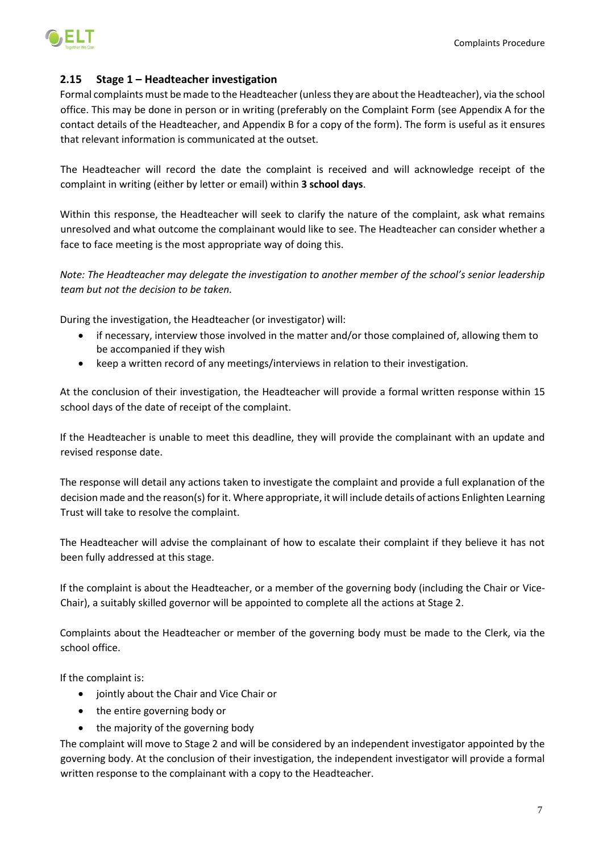

### <span id="page-7-0"></span>**2.15 Stage 1 – Headteacher investigation**

Formal complaints must be made to the Headteacher (unless they are about the Headteacher), via the school office. This may be done in person or in writing (preferably on the Complaint Form (see Appendix A for the contact details of the Headteacher, and Appendix B for a copy of the form). The form is useful as it ensures that relevant information is communicated at the outset.

The Headteacher will record the date the complaint is received and will acknowledge receipt of the complaint in writing (either by letter or email) within **3 school days**.

Within this response, the Headteacher will seek to clarify the nature of the complaint, ask what remains unresolved and what outcome the complainant would like to see. The Headteacher can consider whether a face to face meeting is the most appropriate way of doing this.

*Note: The Headteacher may delegate the investigation to another member of the school's senior leadership team but not the decision to be taken.*

During the investigation, the Headteacher (or investigator) will:

- if necessary, interview those involved in the matter and/or those complained of, allowing them to be accompanied if they wish
- keep a written record of any meetings/interviews in relation to their investigation.

At the conclusion of their investigation, the Headteacher will provide a formal written response within 15 school days of the date of receipt of the complaint.

If the Headteacher is unable to meet this deadline, they will provide the complainant with an update and revised response date.

The response will detail any actions taken to investigate the complaint and provide a full explanation of the decision made and the reason(s) for it. Where appropriate, it will include details of actions Enlighten Learning Trust will take to resolve the complaint.

The Headteacher will advise the complainant of how to escalate their complaint if they believe it has not been fully addressed at this stage.

If the complaint is about the Headteacher, or a member of the governing body (including the Chair or Vice-Chair), a suitably skilled governor will be appointed to complete all the actions at Stage 2.

Complaints about the Headteacher or member of the governing body must be made to the Clerk, via the school office.

If the complaint is:

- jointly about the Chair and Vice Chair or
- the entire governing body or
- the majority of the governing body

The complaint will move to Stage 2 and will be considered by an independent investigator appointed by the governing body. At the conclusion of their investigation, the independent investigator will provide a formal written response to the complainant with a copy to the Headteacher.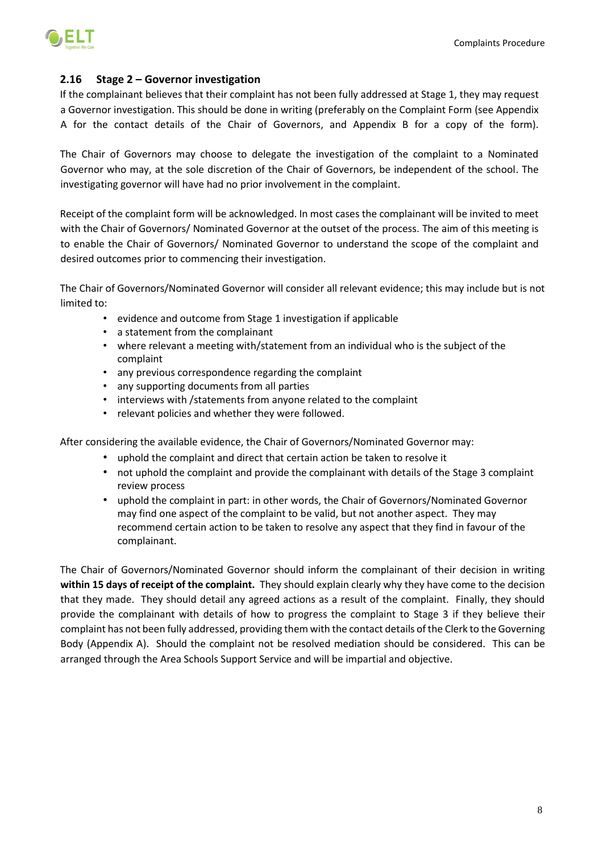



### <span id="page-8-0"></span>**2.16 Stage 2 – Governor investigation**

If the complainant believes that their complaint has not been fully addressed at Stage 1, they may request a Governor investigation. This should be done in writing (preferably on the Complaint Form (see Appendix A for the contact details of the Chair of Governors, and Appendix B for a copy of the form).

The Chair of Governors may choose to delegate the investigation of the complaint to a Nominated Governor who may, at the sole discretion of the Chair of Governors, be independent of the school. The investigating governor will have had no prior involvement in the complaint.

Receipt of the complaint form will be acknowledged. In most cases the complainant will be invited to meet with the Chair of Governors/ Nominated Governor at the outset of the process. The aim of this meeting is to enable the Chair of Governors/ Nominated Governor to understand the scope of the complaint and desired outcomes prior to commencing their investigation.

The Chair of Governors/Nominated Governor will consider all relevant evidence; this may include but is not limited to:

- evidence and outcome from Stage 1 investigation if applicable
- a statement from the complainant
- where relevant a meeting with/statement from an individual who is the subject of the complaint
- any previous correspondence regarding the complaint
- any supporting documents from all parties
- interviews with /statements from anyone related to the complaint
- relevant policies and whether they were followed.

After considering the available evidence, the Chair of Governors/Nominated Governor may:

- uphold the complaint and direct that certain action be taken to resolve it
- not uphold the complaint and provide the complainant with details of the Stage 3 complaint review process
- uphold the complaint in part: in other words, the Chair of Governors/Nominated Governor may find one aspect of the complaint to be valid, but not another aspect. They may recommend certain action to be taken to resolve any aspect that they find in favour of the complainant.

The Chair of Governors/Nominated Governor should inform the complainant of their decision in writing **within 15 days of receipt of the complaint.** They should explain clearly why they have come to the decision that they made. They should detail any agreed actions as a result of the complaint. Finally, they should provide the complainant with details of how to progress the complaint to Stage 3 if they believe their complaint has not been fully addressed, providing them with the contact details of the Clerk to the Governing Body (Appendix A). Should the complaint not be resolved mediation should be considered. This can be arranged through the Area Schools Support Service and will be impartial and objective.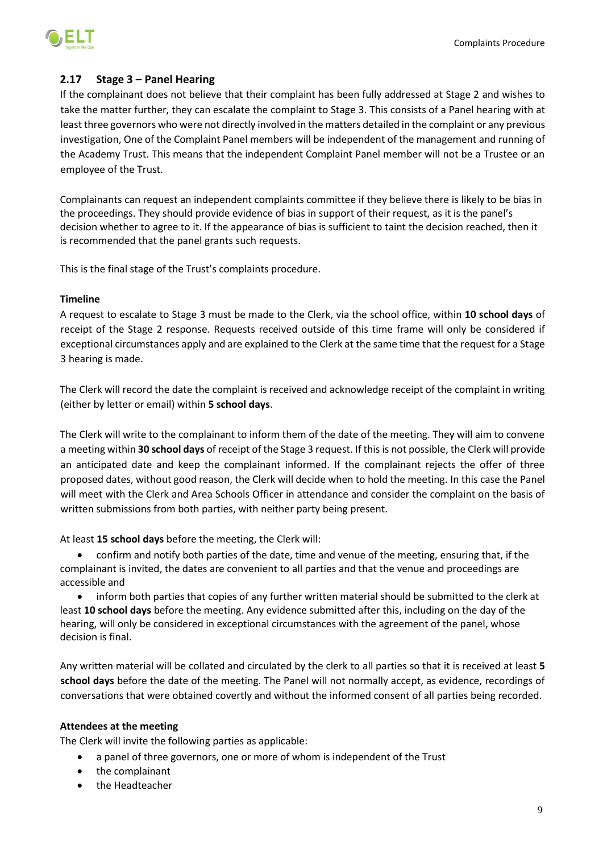

# <span id="page-9-0"></span>**2.17 Stage 3 – Panel Hearing**

If the complainant does not believe that their complaint has been fully addressed at Stage 2 and wishes to take the matter further, they can escalate the complaint to Stage 3. This consists of a Panel hearing with at least three governors who were not directly involved in the matters detailed in the complaint or any previous investigation, One of the Complaint Panel members will be independent of the management and running of the Academy Trust. This means that the independent Complaint Panel member will not be a Trustee or an employee of the Trust.

Complainants can request an independent complaints committee if they believe there is likely to be [bias](https://www.gov.uk/government/publications/school-complaints-procedures/best-practice-advice-for-school-complaints-procedures-2019#bias-in-the-proceedings) in the [proceedings.](https://www.gov.uk/government/publications/school-complaints-procedures/best-practice-advice-for-school-complaints-procedures-2019#bias-in-the-proceedings) They should provide evidence of bias in support of their request, as it is the panel's decision whether to agree to it. If the appearance of bias is sufficient to taint the decision reached, then it is recommended that the panel grants such requests.

This is the final stage of the Trust's complaints procedure.

### **Timeline**

A request to escalate to Stage 3 must be made to the Clerk, via the school office, within **10 school days** of receipt of the Stage 2 response. Requests received outside of this time frame will only be considered if exceptional circumstances apply and are explained to the Clerk at the same time that the request for a Stage 3 hearing is made.

The Clerk will record the date the complaint is received and acknowledge receipt of the complaint in writing (either by letter or email) within **5 school days**.

The Clerk will write to the complainant to inform them of the date of the meeting. They will aim to convene a meeting within **30 school days** of receipt of the Stage 3 request. If this is not possible, the Clerk will provide an anticipated date and keep the complainant informed. If the complainant rejects the offer of three proposed dates, without good reason, the Clerk will decide when to hold the meeting. In this case the Panel will meet with the Clerk and Area Schools Officer in attendance and consider the complaint on the basis of written submissions from both parties, with neither party being present.

At least **15 school days** before the meeting, the Clerk will:

• confirm and notify both parties of the date, time and venue of the meeting, ensuring that, if the complainant is invited, the dates are convenient to all parties and that the venue and proceedings are accessible and

• inform both parties that copies of any further written material should be submitted to the clerk at least **10 school days** before the meeting. Any evidence submitted after this, including on the day of the hearing, will only be considered in exceptional circumstances with the agreement of the panel, whose decision is final.

Any written material will be collated and circulated by the clerk to all parties so that it is received at least **5 school days** before the date of the meeting. The Panel will not normally accept, as evidence, recordings of conversations that were obtained covertly and without the informed consent of all parties being recorded.

### **Attendees at the meeting**

The Clerk will invite the following parties as applicable:

- a panel of three governors, one or more of whom is independent of the Trust
- the complainant
- the Headteacher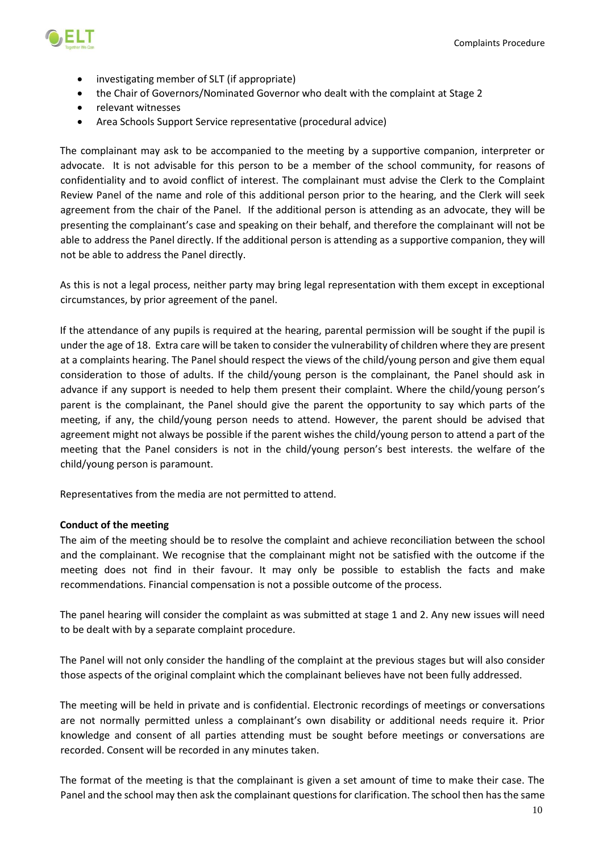

- investigating member of SLT (if appropriate)
- the Chair of Governors/Nominated Governor who dealt with the complaint at Stage 2
- relevant witnesses
- Area Schools Support Service representative (procedural advice)

The complainant may ask to be accompanied to the meeting by a supportive companion, interpreter or advocate. It is not advisable for this person to be a member of the school community, for reasons of confidentiality and to avoid conflict of interest. The complainant must advise the Clerk to the Complaint Review Panel of the name and role of this additional person prior to the hearing, and the Clerk will seek agreement from the chair of the Panel. If the additional person is attending as an advocate, they will be presenting the complainant's case and speaking on their behalf, and therefore the complainant will not be able to address the Panel directly. If the additional person is attending as a supportive companion, they will not be able to address the Panel directly.

As this is not a legal process, neither party may bring legal representation with them except in exceptional circumstances, by prior agreement of the panel.

If the attendance of any pupils is required at the hearing, parental permission will be sought if the pupil is under the age of 18. Extra care will be taken to consider the vulnerability of children where they are present at a complaints hearing. The Panel should respect the views of the child/young person and give them equal consideration to those of adults. If the child/young person is the complainant, the Panel should ask in advance if any support is needed to help them present their complaint. Where the child/young person's parent is the complainant, the Panel should give the parent the opportunity to say which parts of the meeting, if any, the child/young person needs to attend. However, the parent should be advised that agreement might not always be possible if the parent wishes the child/young person to attend a part of the meeting that the Panel considers is not in the child/young person's best interests. the welfare of the child/young person is paramount.

Representatives from the media are not permitted to attend.

### **Conduct of the meeting**

The aim of the meeting should be to resolve the complaint and achieve reconciliation between the school and the complainant. We recognise that the complainant might not be satisfied with the outcome if the meeting does not find in their favour. It may only be possible to establish the facts and make recommendations. Financial compensation is not a possible outcome of the process.

The panel hearing will consider the complaint as was submitted at stage 1 and 2. Any new issues will need to be dealt with by a separate complaint procedure.

The Panel will not only consider the handling of the complaint at the previous stages but will also consider those aspects of the original complaint which the complainant believes have not been fully addressed.

The meeting will be held in private and is confidential. Electronic recordings of meetings or conversations are not normally permitted unless a complainant's own disability or additional needs require it. Prior knowledge and consent of all parties attending must be sought before meetings or conversations are recorded. Consent will be recorded in any minutes taken.

The format of the meeting is that the complainant is given a set amount of time to make their case. The Panel and the school may then ask the complainant questions for clarification. The school then has the same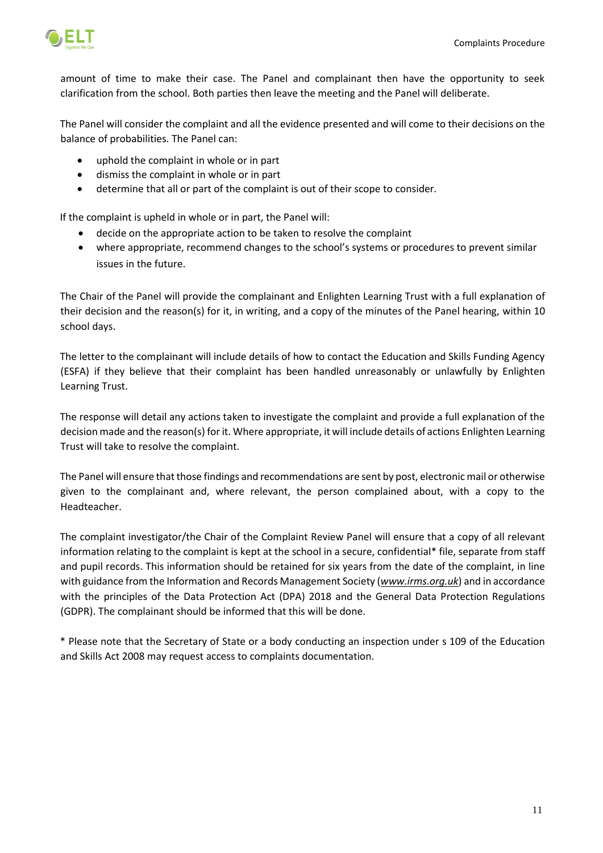

amount of time to make their case. The Panel and complainant then have the opportunity to seek clarification from the school. Both parties then leave the meeting and the Panel will deliberate.

The Panel will consider the complaint and all the evidence presented and will come to their decisions on the balance of probabilities. The Panel can:

- uphold the complaint in whole or in part
- dismiss the complaint in whole or in part
- determine that all or part of the complaint is out of their scope to consider.

If the complaint is upheld in whole or in part, the Panel will:

- decide on the appropriate action to be taken to resolve the complaint
- where appropriate, recommend changes to the school's systems or procedures to prevent similar issues in the future.

The Chair of the Panel will provide the complainant and Enlighten Learning Trust with a full explanation of their decision and the reason(s) for it, in writing, and a copy of the minutes of the Panel hearing, within 10 school days.

The letter to the complainant will include details of how to contact the Education and Skills Funding Agency (ESFA) if they believe that their complaint has been handled unreasonably or unlawfully by Enlighten Learning Trust.

The response will detail any actions taken to investigate the complaint and provide a full explanation of the decision made and the reason(s) for it. Where appropriate, it will include details of actions Enlighten Learning Trust will take to resolve the complaint.

The Panel will ensure that those findings and recommendations are sent by post, electronic mail or otherwise given to the complainant and, where relevant, the person complained about, with a copy to the Headteacher.

The complaint investigator/the Chair of the Complaint Review Panel will ensure that a copy of all relevant information relating to the complaint is kept at the school in a secure, confidential\* file, separate from staff and pupil records. This information should be retained for six years from the date of the complaint, in line with guidance from the Information and Records Management Society (*[www.irms.org.uk](http://www.irms.org.uk/)*) and in accordance with the principles of the Data Protection Act (DPA) 2018 and the General Data Protection Regulations (GDPR). The complainant should be informed that this will be done.

\* Please note that the Secretary of State or a body conducting an inspection under s 109 of the Education and Skills Act 2008 may request access to complaints documentation.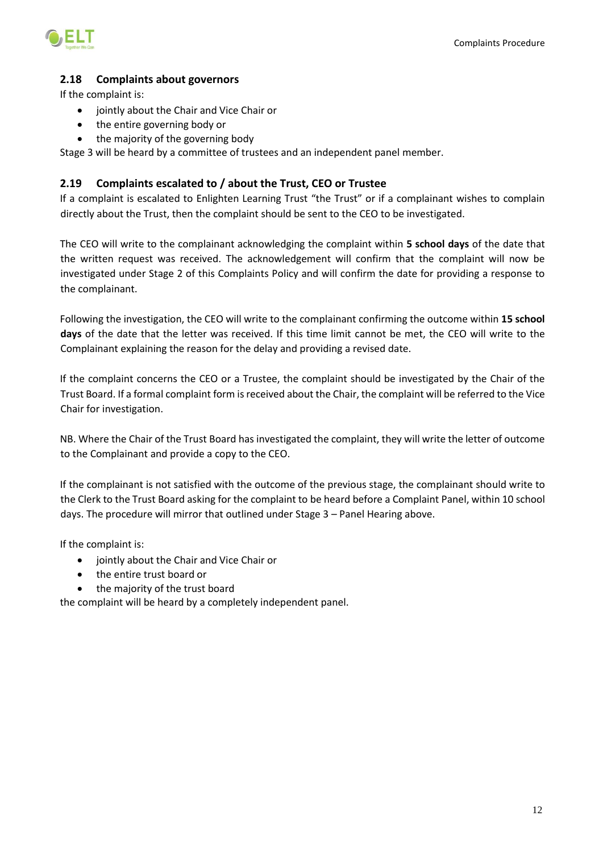

# <span id="page-12-0"></span>**2.18 Complaints about governors**

If the complaint is:

- jointly about the Chair and Vice Chair or
- the entire governing body or
- the majority of the governing body

Stage 3 will be heard by a committee of trustees and an independent panel member.

### <span id="page-12-1"></span>**2.19 Complaints escalated to / about the Trust, CEO or Trustee**

If a complaint is escalated to Enlighten Learning Trust "the Trust" or if a complainant wishes to complain directly about the Trust, then the complaint should be sent to the CEO to be investigated.

The CEO will write to the complainant acknowledging the complaint within **5 school days** of the date that the written request was received. The acknowledgement will confirm that the complaint will now be investigated under Stage 2 of this Complaints Policy and will confirm the date for providing a response to the complainant.

Following the investigation, the CEO will write to the complainant confirming the outcome within **15 school days** of the date that the letter was received. If this time limit cannot be met, the CEO will write to the Complainant explaining the reason for the delay and providing a revised date.

If the complaint concerns the CEO or a Trustee, the complaint should be investigated by the Chair of the Trust Board. If a formal complaint form is received about the Chair, the complaint will be referred to the Vice Chair for investigation.

NB. Where the Chair of the Trust Board has investigated the complaint, they will write the letter of outcome to the Complainant and provide a copy to the CEO.

If the complainant is not satisfied with the outcome of the previous stage, the complainant should write to the Clerk to the Trust Board asking for the complaint to be heard before a Complaint Panel, within 10 school days. The procedure will mirror that outlined under Stage 3 – Panel Hearing above.

If the complaint is:

- jointly about the Chair and Vice Chair or
- the entire trust board or
- the majority of the trust board

the complaint will be heard by a completely independent panel.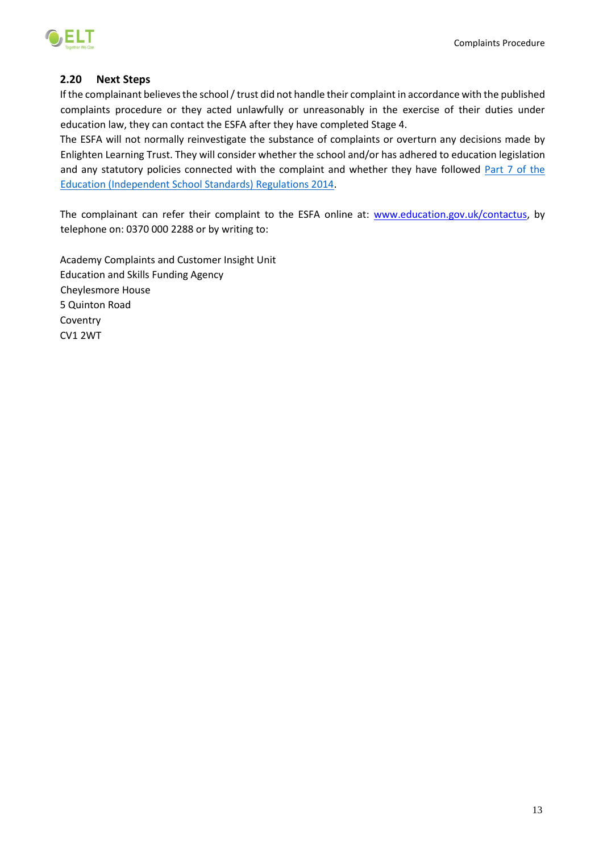

### <span id="page-13-0"></span>**2.20 Next Steps**

If the complainant believes the school / trust did not handle their complaint in accordance with the published complaints procedure or they acted unlawfully or unreasonably in the exercise of their duties under education law, they can contact the ESFA after they have completed Stage 4.

The ESFA will not normally reinvestigate the substance of complaints or overturn any decisions made by Enlighten Learning Trust. They will consider whether the school and/or has adhered to education legislation and any statutory policies connected with the complaint and whether they have followed [Part 7 of the](http://www.legislation.gov.uk/uksi/2010/1997/schedule/1/made)  [Education \(Independent School Standards\) Regulations 2014.](http://www.legislation.gov.uk/uksi/2010/1997/schedule/1/made)

The complainant can refer their complaint to the ESFA online at: [www.education.gov.uk/contactus,](http://www.education.gov.uk/contactus) by telephone on: 0370 000 2288 or by writing to:

Academy Complaints and Customer Insight Unit Education and Skills Funding Agency Cheylesmore House 5 Quinton Road **Coventry** CV1 2WT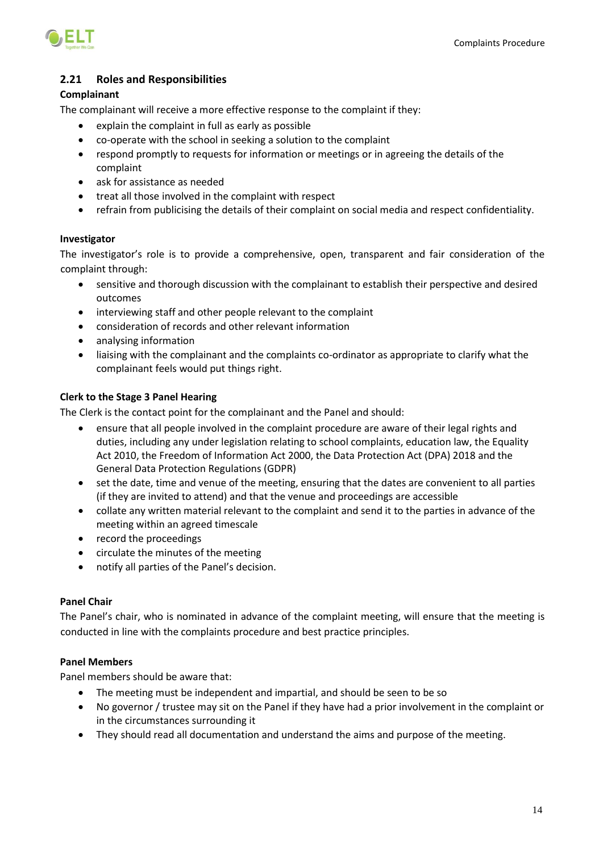

# <span id="page-14-0"></span>**2.21 Roles and Responsibilities**

### **Complainant**

The complainant will receive a more effective response to the complaint if they:

- explain the complaint in full as early as possible
- co-operate with the school in seeking a solution to the complaint
- respond promptly to requests for information or meetings or in agreeing the details of the complaint
- ask for assistance as needed
- treat all those involved in the complaint with respect
- refrain from publicising the details of their complaint on social media and respect confidentiality.

### **Investigator**

The investigator's role is to provide a comprehensive, open, transparent and fair consideration of the complaint through:

- sensitive and thorough discussion with the complainant to establish their perspective and desired outcomes
- interviewing staff and other people relevant to the complaint
- consideration of records and other relevant information
- analysing information
- liaising with the complainant and the complaints co-ordinator as appropriate to clarify what the complainant feels would put things right.

### **Clerk to the Stage 3 Panel Hearing**

The Clerk is the contact point for the complainant and the Panel and should:

- ensure that all people involved in the complaint procedure are aware of their legal rights and duties, including any under legislation relating to school complaints, education law, the Equality Act 2010, the Freedom of Information Act 2000, the Data Protection Act (DPA) 2018 and the General Data Protection Regulations (GDPR)
- set the date, time and venue of the meeting, ensuring that the dates are convenient to all parties (if they are invited to attend) and that the venue and proceedings are accessible
- collate any written material relevant to the complaint and send it to the parties in advance of the meeting within an agreed timescale
- record the proceedings
- circulate the minutes of the meeting
- notify all parties of the Panel's decision.

### **Panel Chair**

The Panel's chair, who is nominated in advance of the complaint meeting, will ensure that the meeting is conducted in line with the complaints procedure and best practice principles.

### **Panel Members**

Panel members should be aware that:

- The meeting must be independent and impartial, and should be seen to be so
- No governor / trustee may sit on the Panel if they have had a prior involvement in the complaint or in the circumstances surrounding it
- They should read all documentation and understand the aims and purpose of the meeting.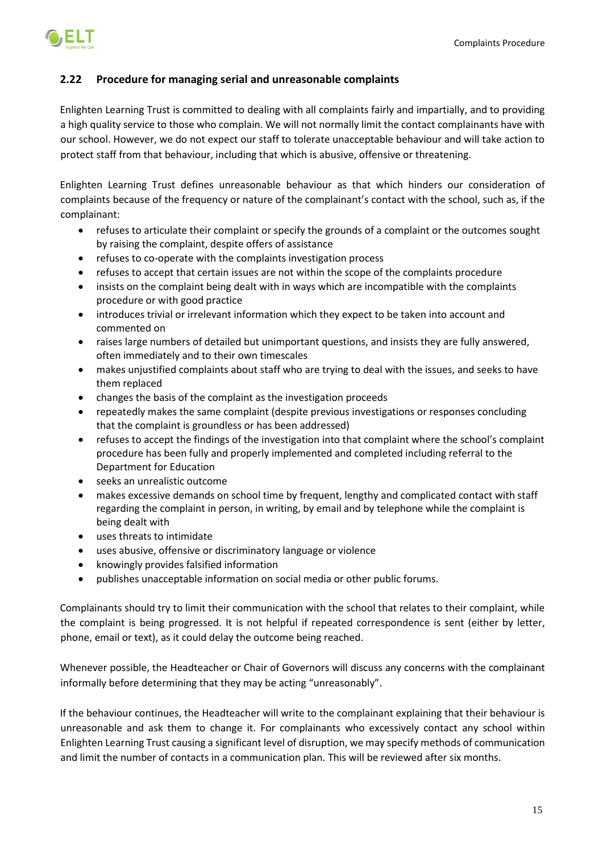

# <span id="page-15-0"></span>**2.22 Procedure for managing serial and unreasonable complaints**

Enlighten Learning Trust is committed to dealing with all complaints fairly and impartially, and to providing a high quality service to those who complain. We will not normally limit the contact complainants have with our school. However, we do not expect our staff to tolerate unacceptable behaviour and will take action to protect staff from that behaviour, including that which is abusive, offensive or threatening.

Enlighten Learning Trust defines unreasonable behaviour as that which hinders our consideration of complaints because of the frequency or nature of the complainant's contact with the school, such as, if the complainant:

- refuses to articulate their complaint or specify the grounds of a complaint or the outcomes sought by raising the complaint, despite offers of assistance
- refuses to co-operate with the complaints investigation process
- refuses to accept that certain issues are not within the scope of the complaints procedure
- insists on the complaint being dealt with in ways which are incompatible with the complaints procedure or with good practice
- introduces trivial or irrelevant information which they expect to be taken into account and commented on
- raises large numbers of detailed but unimportant questions, and insists they are fully answered, often immediately and to their own timescales
- makes unjustified complaints about staff who are trying to deal with the issues, and seeks to have them replaced
- changes the basis of the complaint as the investigation proceeds
- repeatedly makes the same complaint (despite previous investigations or responses concluding that the complaint is groundless or has been addressed)
- refuses to accept the findings of the investigation into that complaint where the school's complaint procedure has been fully and properly implemented and completed including referral to the Department for Education
- seeks an unrealistic outcome
- makes excessive demands on school time by frequent, lengthy and complicated contact with staff regarding the complaint in person, in writing, by email and by telephone while the complaint is being dealt with
- uses threats to intimidate
- uses abusive, offensive or discriminatory language or violence
- knowingly provides falsified information
- publishes unacceptable information on social media or other public forums.

Complainants should try to limit their communication with the school that relates to their complaint, while the complaint is being progressed. It is not helpful if repeated correspondence is sent (either by letter, phone, email or text), as it could delay the outcome being reached.

Whenever possible, the Headteacher or Chair of Governors will discuss any concerns with the complainant informally before determining that they may be acting "unreasonably".

If the behaviour continues, the Headteacher will write to the complainant explaining that their behaviour is unreasonable and ask them to change it. For complainants who excessively contact any school within Enlighten Learning Trust causing a significant level of disruption, we may specify methods of communication and limit the number of contacts in a communication plan. This will be reviewed after six months.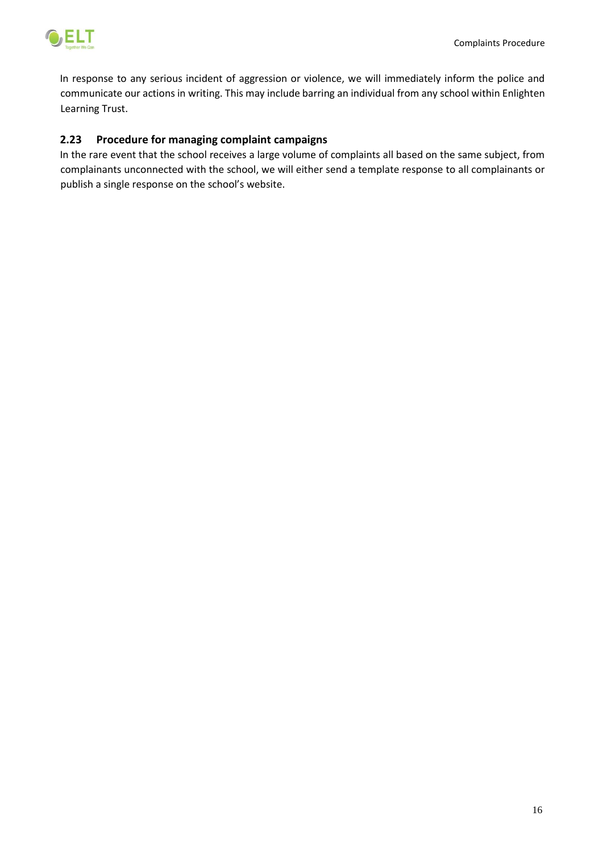



In response to any serious incident of aggression or violence, we will immediately inform the police and communicate our actions in writing. This may include barring an individual from any school within Enlighten Learning Trust.

# <span id="page-16-0"></span>**2.23 Procedure for managing complaint campaigns**

In the rare event that the school receives a large volume of complaints all based on the same subject, from complainants unconnected with the school, we will either send a template response to all complainants or publish a single response on the school's website.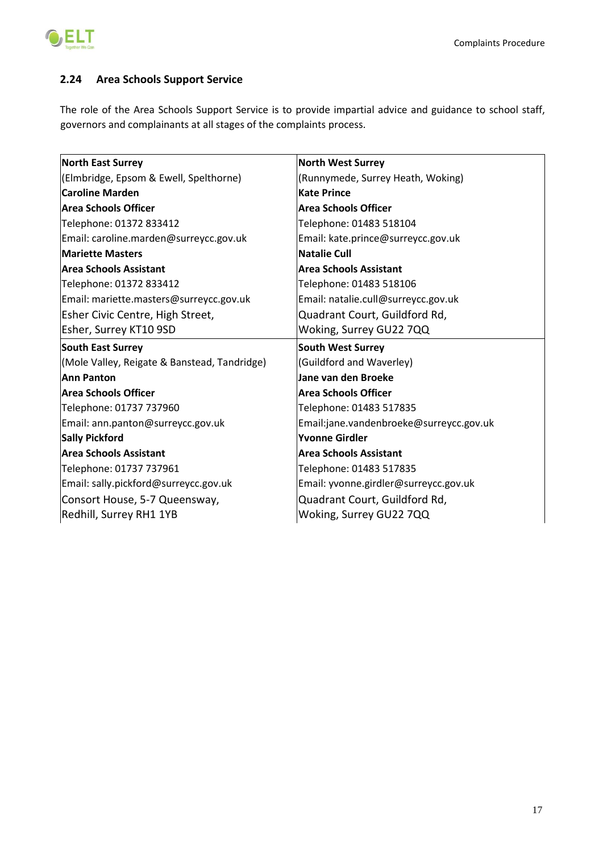

# <span id="page-17-0"></span>**2.24 Area Schools Support Service**

The role of the Area Schools Support Service is to provide impartial advice and guidance to school staff, governors and complainants at all stages of the complaints process.

| <b>North East Surrey</b>                     | <b>North West Surrey</b>                |  |  |
|----------------------------------------------|-----------------------------------------|--|--|
| (Elmbridge, Epsom & Ewell, Spelthorne)       | (Runnymede, Surrey Heath, Woking)       |  |  |
| <b>Caroline Marden</b>                       | <b>Kate Prince</b>                      |  |  |
| Area Schools Officer                         | <b>Area Schools Officer</b>             |  |  |
| Telephone: 01372 833412                      | Telephone: 01483 518104                 |  |  |
| Email: caroline.marden@surreycc.gov.uk       | Email: kate.prince@surreycc.gov.uk      |  |  |
| <b>Mariette Masters</b>                      | <b>Natalie Cull</b>                     |  |  |
| <b>Area Schools Assistant</b>                | <b>Area Schools Assistant</b>           |  |  |
| Telephone: 01372 833412                      | Telephone: 01483 518106                 |  |  |
| Email: mariette.masters@surreycc.gov.uk      | Email: natalie.cull@surreycc.gov.uk     |  |  |
| Esher Civic Centre, High Street,             | Quadrant Court, Guildford Rd,           |  |  |
| Esher, Surrey KT10 9SD                       | Woking, Surrey GU22 7QQ                 |  |  |
|                                              |                                         |  |  |
| <b>South East Surrey</b>                     | <b>South West Surrey</b>                |  |  |
| (Mole Valley, Reigate & Banstead, Tandridge) | (Guildford and Waverley)                |  |  |
| <b>Ann Panton</b>                            | Jane van den Broeke                     |  |  |
| Area Schools Officer                         | <b>Area Schools Officer</b>             |  |  |
| Telephone: 01737 737960                      | Telephone: 01483 517835                 |  |  |
| Email: ann.panton@surreycc.gov.uk            | Email:jane.vandenbroeke@surreycc.gov.uk |  |  |
| <b>Sally Pickford</b>                        | <b>Yvonne Girdler</b>                   |  |  |
| <b>Area Schools Assistant</b>                | <b>Area Schools Assistant</b>           |  |  |
| Telephone: 01737 737961                      | Telephone: 01483 517835                 |  |  |
| Email: sally.pickford@surreycc.gov.uk        | Email: yvonne.girdler@surreycc.gov.uk   |  |  |
| Consort House, 5-7 Queensway,                | Quadrant Court, Guildford Rd,           |  |  |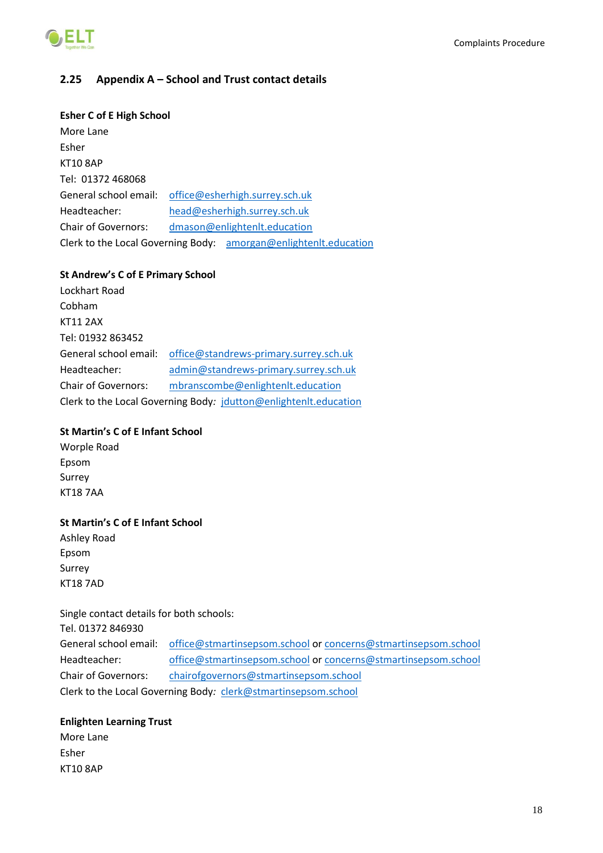

# <span id="page-18-0"></span>**2.25 Appendix A – School and Trust contact details**

### **Esher C of E High School**

More Lane Esher KT10 8AP Tel: 01372 468068 General school email: [office@esherhigh.surrey.sch.uk](mailto:office@esherhigh.surrey.sch.uk) Headteacher: [head@esherhigh.surrey.sch.uk](mailto:head@esherhigh.surrey.sch.uk) Chair of Governors: [dmason@enlightenlt.education](mailto:dmason@enlightenlt.education) Clerk to the Local Governing Body: [amorgan@enlightenlt.education](mailto:amorgan@esherhigh.surrey.sch.uk)

### **St Andrew's C of E Primary School**

Lockhart Road Cobham KT11 2AX Tel: 01932 863452 General school email: [office@standrews-primary.surrey.sch.uk](mailto:office@standrews-primary.surrey.sch.uk) Headteacher: [admin@standrews-primary.surrey.sch.uk](mailto:admin@standrews-primary.surrey.sch.uk) Chair of Governors: mbranscombe@enlightenlt.education Clerk to the Local Governing Body*:* [jdutton@enlightenlt.education](mailto:jdutton@esherlearningtrust.co.uk)

### **St Martin's C of E Infant School**

Worple Road Epsom Surrey KT18 7AA

### **St Martin's C of E Infant School**

Ashley Road Epsom Surrey KT18 7AD

Single contact details for both schools: Tel. 01372 846930 General school email: [office@stmartinsepsom.school](mailto:office@stmartinsepsom.school) or [concerns@stmartinsepsom.school](mailto:concerns@stmartinsepsom.school) Headteacher: [office@stmartinsepsom.school](mailto:office@stmartinsepsom.school) or [concerns@stmartinsepsom.school](mailto:concerns@stmartinsepsom.school) Chair of Governors: [chairofgovernors@stmartinsepsom.school](mailto:chairofgovernors@stmartinsepsom.school) Clerk to the Local Governing Body*:* [clerk@stmartinsepsom.school](mailto:clerk@stmartinsepsom.school)

### **Enlighten Learning Trust**

More Lane Esher KT10 8AP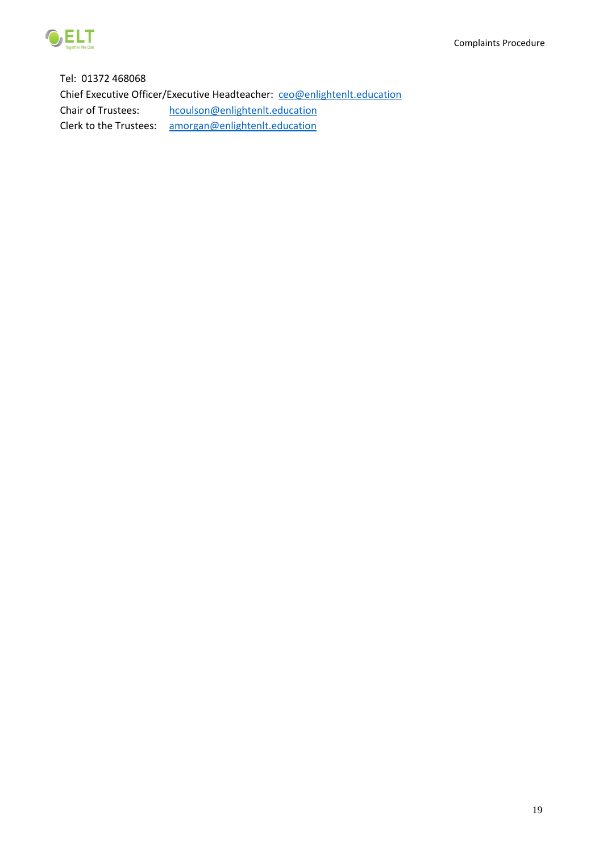

Tel: 01372 468068 Chief Executive Officer/Executive Headteacher: [ceo@enlightenlt.education](mailto:ceo@enlightenlt.education) Chair of Trustees: [hcoulson@enlightenlt.education](mailto:hcoulson@enlightenlt.education) Clerk to the Trustees: [amorgan@enlightenlt.education](mailto:amorgan@enlightenlt.education)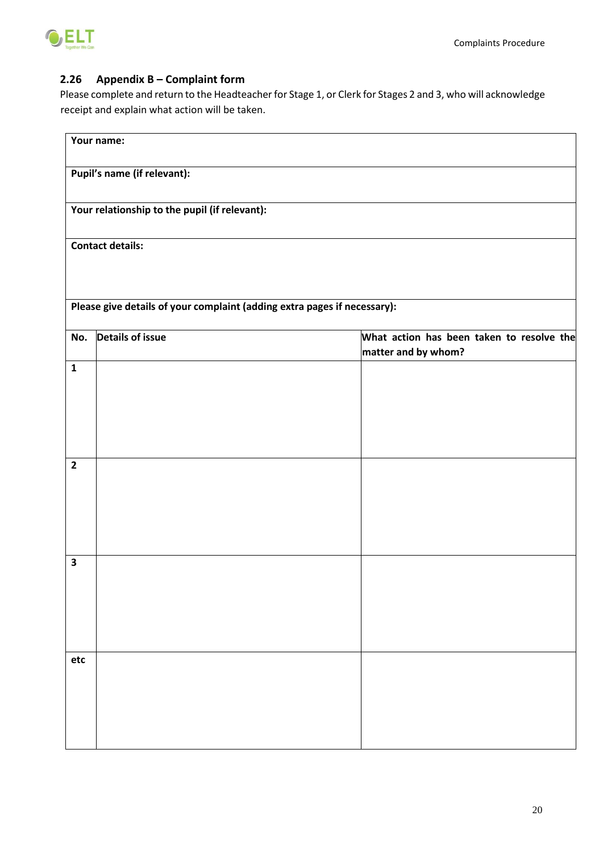

# <span id="page-20-0"></span>**2.26 Appendix B – Complaint form**

Please complete and return to the Headteacher for Stage 1, or Clerk for Stages 2 and 3, who will acknowledge receipt and explain what action will be taken.

|                         | Your name:                                                               |                                                                  |
|-------------------------|--------------------------------------------------------------------------|------------------------------------------------------------------|
|                         | Pupil's name (if relevant):                                              |                                                                  |
|                         | Your relationship to the pupil (if relevant):                            |                                                                  |
|                         | <b>Contact details:</b>                                                  |                                                                  |
|                         | Please give details of your complaint (adding extra pages if necessary): |                                                                  |
| No.                     | <b>Details of issue</b>                                                  | What action has been taken to resolve the<br>matter and by whom? |
| $\overline{1}$          |                                                                          |                                                                  |
| $\overline{2}$          |                                                                          |                                                                  |
| $\overline{\mathbf{3}}$ |                                                                          |                                                                  |
| etc                     |                                                                          |                                                                  |